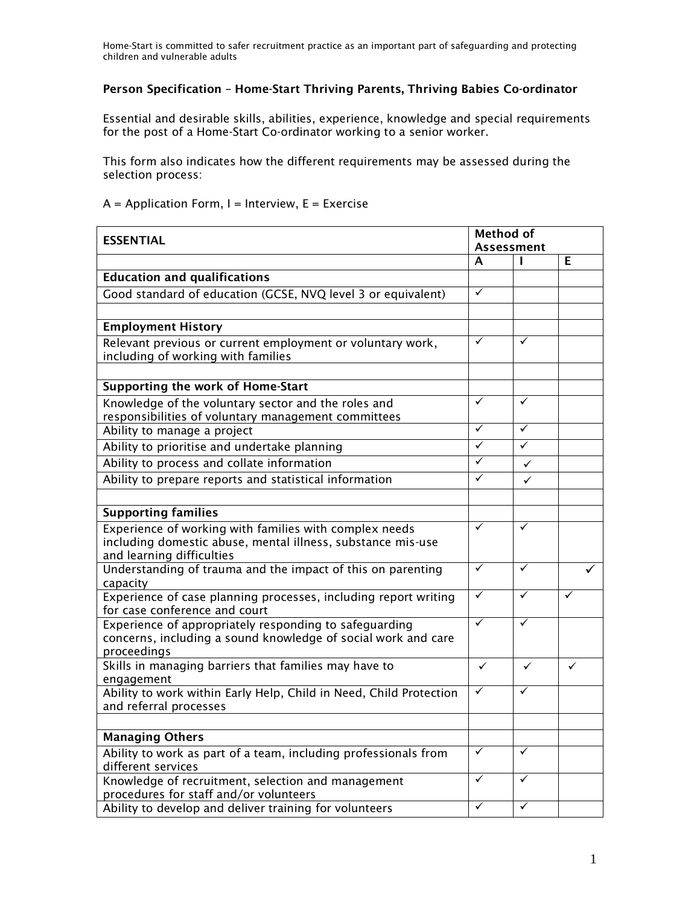## Person Specification – Home-Start Thriving Parents, Thriving Babies Co-ordinator

Essential and desirable skills, abilities, experience, knowledge and special requirements for the post of a Home-Start Co-ordinator working to a senior worker.

This form also indicates how the different requirements may be assessed during the selection process:

## $A =$  Application Form, I = Interview, E = Exercise

| <b>ESSENTIAL</b>                                                                                                        |                         | <b>Method of</b> |              |
|-------------------------------------------------------------------------------------------------------------------------|-------------------------|------------------|--------------|
|                                                                                                                         | <b>Assessment</b>       |                  |              |
|                                                                                                                         | A                       | ı                | E.           |
| <b>Education and qualifications</b>                                                                                     |                         |                  |              |
| Good standard of education (GCSE, NVQ level 3 or equivalent)                                                            | $\checkmark$            |                  |              |
|                                                                                                                         |                         |                  |              |
| <b>Employment History</b>                                                                                               |                         |                  |              |
| Relevant previous or current employment or voluntary work,                                                              | $\checkmark$            | $\checkmark$     |              |
| including of working with families                                                                                      |                         |                  |              |
|                                                                                                                         |                         |                  |              |
| Supporting the work of Home-Start                                                                                       |                         |                  |              |
| Knowledge of the voluntary sector and the roles and                                                                     | ✓                       | ✓                |              |
| responsibilities of voluntary management committees                                                                     |                         |                  |              |
| Ability to manage a project                                                                                             | $\checkmark$            | $\checkmark$     |              |
| Ability to prioritise and undertake planning                                                                            | $\overline{\checkmark}$ | $\checkmark$     |              |
| Ability to process and collate information                                                                              | ✓                       | $\checkmark$     |              |
| Ability to prepare reports and statistical information                                                                  | $\checkmark$            | ✓                |              |
|                                                                                                                         |                         |                  |              |
| <b>Supporting families</b>                                                                                              |                         |                  |              |
| Experience of working with families with complex needs                                                                  | $\checkmark$            | ✓                |              |
| including domestic abuse, mental illness, substance mis-use                                                             |                         |                  |              |
| and learning difficulties                                                                                               |                         |                  |              |
| Understanding of trauma and the impact of this on parenting                                                             | $\checkmark$            | ✓                |              |
| capacity                                                                                                                |                         |                  | ✓            |
| Experience of case planning processes, including report writing                                                         | $\checkmark$            | $\checkmark$     |              |
| for case conference and court                                                                                           | $\checkmark$            | ✓                |              |
| Experience of appropriately responding to safeguarding<br>concerns, including a sound knowledge of social work and care |                         |                  |              |
| proceedings                                                                                                             |                         |                  |              |
| Skills in managing barriers that families may have to                                                                   | $\checkmark$            | $\checkmark$     | $\checkmark$ |
| engagement                                                                                                              |                         |                  |              |
| Ability to work within Early Help, Child in Need, Child Protection                                                      | $\checkmark$            | ✓                |              |
| and referral processes                                                                                                  |                         |                  |              |
|                                                                                                                         |                         |                  |              |
| <b>Managing Others</b>                                                                                                  |                         |                  |              |
| Ability to work as part of a team, including professionals from                                                         | $\checkmark$            | $\checkmark$     |              |
| different services                                                                                                      |                         |                  |              |
| Knowledge of recruitment, selection and management                                                                      | $\checkmark$            | ✓                |              |
| procedures for staff and/or volunteers                                                                                  |                         |                  |              |
| Ability to develop and deliver training for volunteers                                                                  | $\checkmark$            | $\checkmark$     |              |